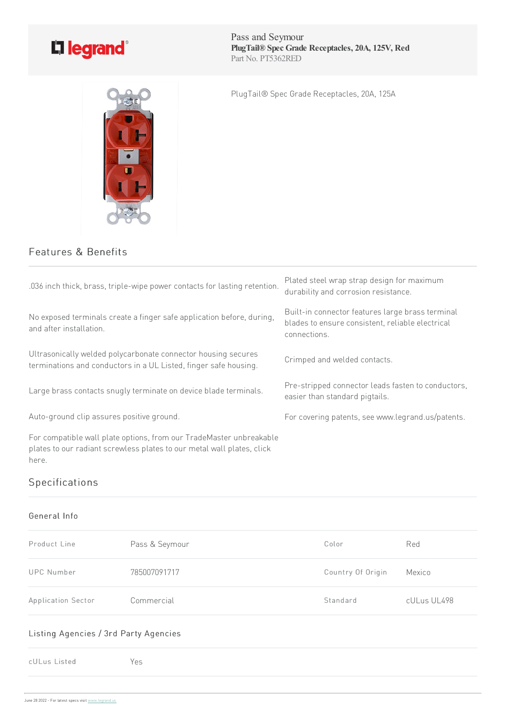

Pass and Seymour **PlugTail® Spec Grade Receptacles, 20A, 125V, Red** Part No. PT5362RED

PlugTail® Spec Grade Receptacles, 20A, 125A

## Features & Benefits

| .036 inch thick, brass, triple-wipe power contacts for lasting retention.                                                                              | Plated steel wrap strap design for maximum<br>durability and corrosion resistance.                                   |
|--------------------------------------------------------------------------------------------------------------------------------------------------------|----------------------------------------------------------------------------------------------------------------------|
| No exposed terminals create a finger safe application before, during,<br>and after installation.                                                       | Built-in connector features large brass terminal<br>blades to ensure consistent, reliable electrical<br>connections. |
| Ultrasonically welded polycarbonate connector housing secures<br>terminations and conductors in a UL Listed, finger safe housing.                      | Crimped and welded contacts.                                                                                         |
| Large brass contacts snugly terminate on device blade terminals.                                                                                       | Pre-stripped connector leads fasten to conductors,<br>easier than standard pigtails.                                 |
| Auto-ground clip assures positive ground.                                                                                                              | For covering patents, see www.legrand.us/patents.                                                                    |
| For compatible wall plate options, from our TradeMaster unbreakable<br>plates to our radiant screwless plates to our metal wall plates, click<br>here. |                                                                                                                      |

# Specifications

#### General Info

| Product Line       | Pass & Seymour | Color             | Red         |
|--------------------|----------------|-------------------|-------------|
| UPC Number         | 785007091717   | Country Of Origin | Mexico      |
| Application Sector | Commercial     | Standard          | cULus UL498 |

#### Listing Agencies / 3rd Party Agencies

cULus Listed Yes